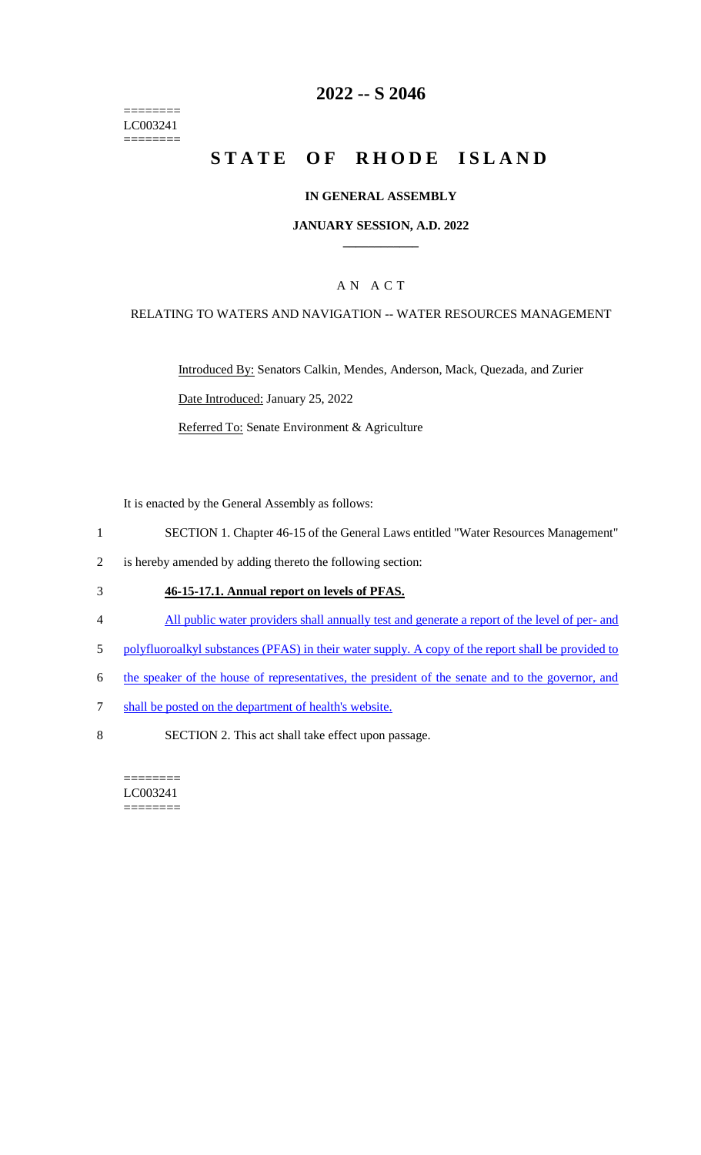======== LC003241  $=$ 

# **2022 -- S 2046**

# **STATE OF RHODE ISLAND**

### **IN GENERAL ASSEMBLY**

#### **JANUARY SESSION, A.D. 2022 \_\_\_\_\_\_\_\_\_\_\_\_**

### A N A C T

### RELATING TO WATERS AND NAVIGATION -- WATER RESOURCES MANAGEMENT

Introduced By: Senators Calkin, Mendes, Anderson, Mack, Quezada, and Zurier Date Introduced: January 25, 2022 Referred To: Senate Environment & Agriculture

It is enacted by the General Assembly as follows:

- 1 SECTION 1. Chapter 46-15 of the General Laws entitled "Water Resources Management"
- 2 is hereby amended by adding thereto the following section:

#### 3 **46-15-17.1. Annual report on levels of PFAS.**

- 4 All public water providers shall annually test and generate a report of the level of per- and
- 5 polyfluoroalkyl substances (PFAS) in their water supply. A copy of the report shall be provided to
- 6 the speaker of the house of representatives, the president of the senate and to the governor, and
- 7 shall be posted on the department of health's website.
- 8 SECTION 2. This act shall take effect upon passage.

======== LC003241 ========